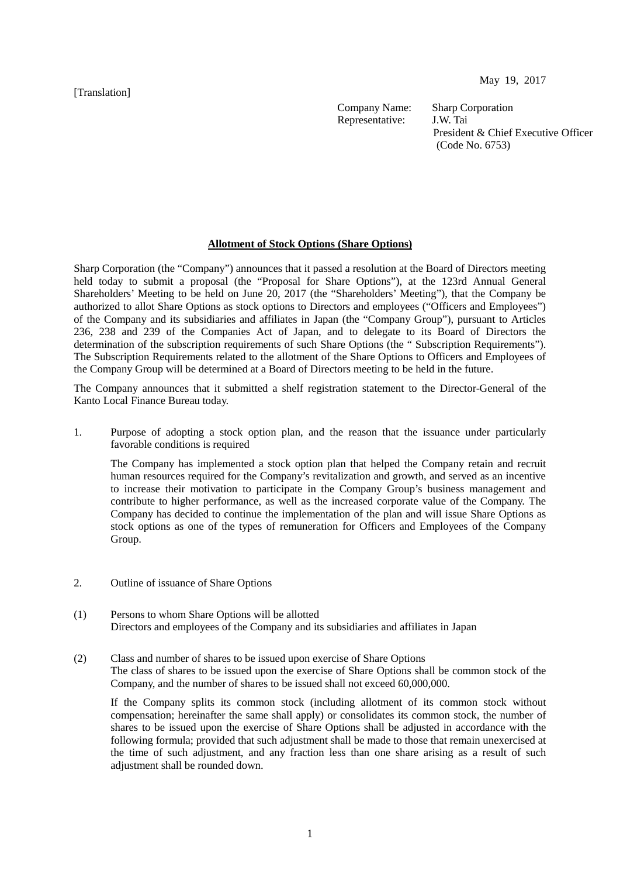[Translation]

May 19, 2017

Company Name: Sharp Corporation<br>Representative: J.W. Tai Representative:

President & Chief Executive Officer (Code No. 6753)

## **Allotment of Stock Options (Share Options)**

Sharp Corporation (the "Company") announces that it passed a resolution at the Board of Directors meeting held today to submit a proposal (the "Proposal for Share Options"), at the 123rd Annual General Shareholders' Meeting to be held on June 20, 2017 (the "Shareholders' Meeting"), that the Company be authorized to allot Share Options as stock options to Directors and employees ("Officers and Employees") of the Company and its subsidiaries and affiliates in Japan (the "Company Group"), pursuant to Articles 236, 238 and 239 of the Companies Act of Japan, and to delegate to its Board of Directors the determination of the subscription requirements of such Share Options (the " Subscription Requirements"). The Subscription Requirements related to the allotment of the Share Options to Officers and Employees of the Company Group will be determined at a Board of Directors meeting to be held in the future.

The Company announces that it submitted a shelf registration statement to the Director-General of the Kanto Local Finance Bureau today.

1. Purpose of adopting a stock option plan, and the reason that the issuance under particularly favorable conditions is required

The Company has implemented a stock option plan that helped the Company retain and recruit human resources required for the Company's revitalization and growth, and served as an incentive to increase their motivation to participate in the Company Group's business management and contribute to higher performance, as well as the increased corporate value of the Company. The Company has decided to continue the implementation of the plan and will issue Share Options as stock options as one of the types of remuneration for Officers and Employees of the Company Group.

- 2. Outline of issuance of Share Options
- (1) Persons to whom Share Options will be allotted Directors and employees of the Company and its subsidiaries and affiliates in Japan
- (2) Class and number of shares to be issued upon exercise of Share Options

The class of shares to be issued upon the exercise of Share Options shall be common stock of the Company, and the number of shares to be issued shall not exceed 60,000,000.

If the Company splits its common stock (including allotment of its common stock without compensation; hereinafter the same shall apply) or consolidates its common stock, the number of shares to be issued upon the exercise of Share Options shall be adjusted in accordance with the following formula; provided that such adjustment shall be made to those that remain unexercised at the time of such adjustment, and any fraction less than one share arising as a result of such adjustment shall be rounded down.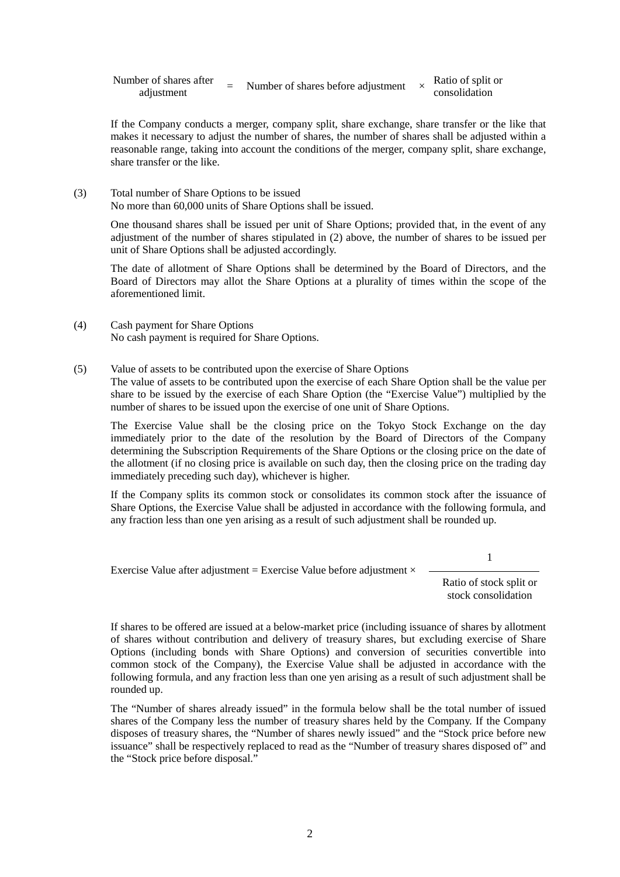| Number of shares after |  | Number of shares before adjustment | Ratio of split or |
|------------------------|--|------------------------------------|-------------------|
| adjustment             |  |                                    | consolidation     |

If the Company conducts a merger, company split, share exchange, share transfer or the like that makes it necessary to adjust the number of shares, the number of shares shall be adjusted within a reasonable range, taking into account the conditions of the merger, company split, share exchange, share transfer or the like.

(3) Total number of Share Options to be issued No more than 60,000 units of Share Options shall be issued.

> One thousand shares shall be issued per unit of Share Options; provided that, in the event of any adjustment of the number of shares stipulated in (2) above, the number of shares to be issued per unit of Share Options shall be adjusted accordingly.

> The date of allotment of Share Options shall be determined by the Board of Directors, and the Board of Directors may allot the Share Options at a plurality of times within the scope of the aforementioned limit.

- (4) Cash payment for Share Options No cash payment is required for Share Options.
- (5) Value of assets to be contributed upon the exercise of Share Options

The value of assets to be contributed upon the exercise of each Share Option shall be the value per share to be issued by the exercise of each Share Option (the "Exercise Value") multiplied by the number of shares to be issued upon the exercise of one unit of Share Options.

The Exercise Value shall be the closing price on the Tokyo Stock Exchange on the day immediately prior to the date of the resolution by the Board of Directors of the Company determining the Subscription Requirements of the Share Options or the closing price on the date of the allotment (if no closing price is available on such day, then the closing price on the trading day immediately preceding such day), whichever is higher.

If the Company splits its common stock or consolidates its common stock after the issuance of Share Options, the Exercise Value shall be adjusted in accordance with the following formula, and any fraction less than one yen arising as a result of such adjustment shall be rounded up.

1

Exercise Value after adjustment = Exercise Value before adjustment  $\times$ 

Ratio of stock split or stock consolidation

If shares to be offered are issued at a below-market price (including issuance of shares by allotment of shares without contribution and delivery of treasury shares, but excluding exercise of Share Options (including bonds with Share Options) and conversion of securities convertible into common stock of the Company), the Exercise Value shall be adjusted in accordance with the following formula, and any fraction less than one yen arising as a result of such adjustment shall be rounded up.

The "Number of shares already issued" in the formula below shall be the total number of issued shares of the Company less the number of treasury shares held by the Company. If the Company disposes of treasury shares, the "Number of shares newly issued" and the "Stock price before new issuance" shall be respectively replaced to read as the "Number of treasury shares disposed of" and the "Stock price before disposal."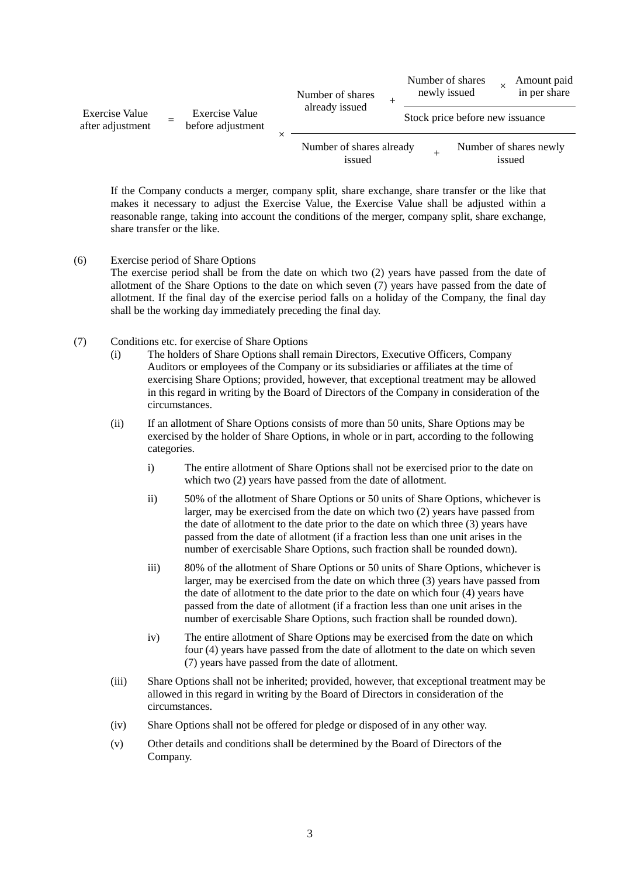| Exercise Value<br>after adjustment |  | <b>Exercise Value</b><br>before adjustment |  | Number of shares<br>already issued |                                 | newly issued | Number of shares |        | Amount paid<br>in per share |
|------------------------------------|--|--------------------------------------------|--|------------------------------------|---------------------------------|--------------|------------------|--------|-----------------------------|
|                                    |  |                                            |  |                                    | Stock price before new issuance |              |                  |        |                             |
|                                    |  |                                            |  | Number of shares already<br>issued |                                 |              |                  | issued | Number of shares newly      |

If the Company conducts a merger, company split, share exchange, share transfer or the like that makes it necessary to adjust the Exercise Value, the Exercise Value shall be adjusted within a reasonable range, taking into account the conditions of the merger, company split, share exchange, share transfer or the like.

- (6) Exercise period of Share Options The exercise period shall be from the date on which two (2) years have passed from the date of allotment of the Share Options to the date on which seven (7) years have passed from the date of allotment. If the final day of the exercise period falls on a holiday of the Company, the final day shall be the working day immediately preceding the final day.
- (7) Conditions etc. for exercise of Share Options
	- (i) The holders of Share Options shall remain Directors, Executive Officers, Company Auditors or employees of the Company or its subsidiaries or affiliates at the time of exercising Share Options; provided, however, that exceptional treatment may be allowed in this regard in writing by the Board of Directors of the Company in consideration of the circumstances.
	- (ii) If an allotment of Share Options consists of more than 50 units, Share Options may be exercised by the holder of Share Options, in whole or in part, according to the following categories.
		- i) The entire allotment of Share Options shall not be exercised prior to the date on which two (2) years have passed from the date of allotment.
		- ii) 50% of the allotment of Share Options or 50 units of Share Options, whichever is larger, may be exercised from the date on which two (2) years have passed from the date of allotment to the date prior to the date on which three (3) years have passed from the date of allotment (if a fraction less than one unit arises in the number of exercisable Share Options, such fraction shall be rounded down).
		- iii) 80% of the allotment of Share Options or 50 units of Share Options, whichever is larger, may be exercised from the date on which three (3) years have passed from the date of allotment to the date prior to the date on which four (4) years have passed from the date of allotment (if a fraction less than one unit arises in the number of exercisable Share Options, such fraction shall be rounded down).
		- iv) The entire allotment of Share Options may be exercised from the date on which four (4) years have passed from the date of allotment to the date on which seven (7) years have passed from the date of allotment.
	- (iii) Share Options shall not be inherited; provided, however, that exceptional treatment may be allowed in this regard in writing by the Board of Directors in consideration of the circumstances.
	- (iv) Share Options shall not be offered for pledge or disposed of in any other way.
	- (v) Other details and conditions shall be determined by the Board of Directors of the Company.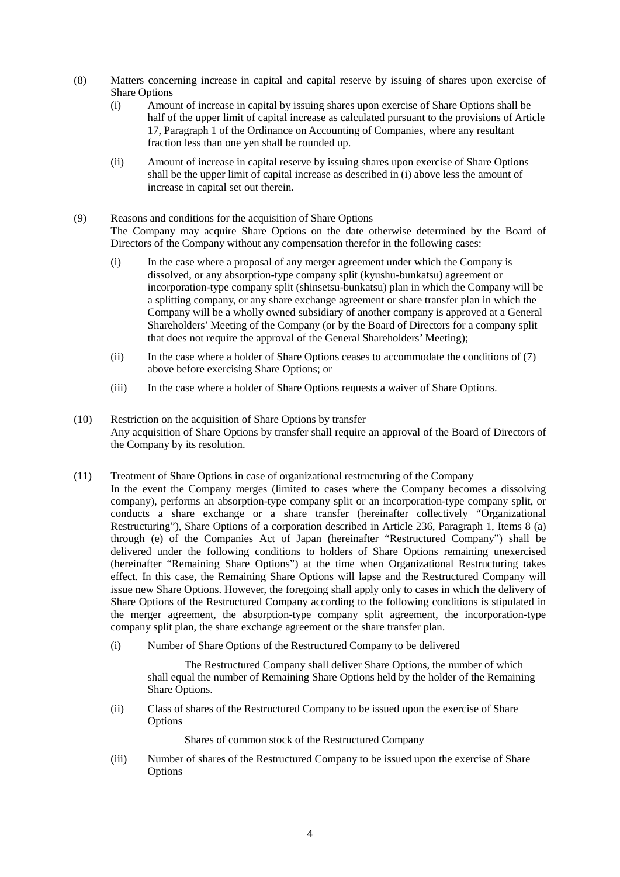- (8) Matters concerning increase in capital and capital reserve by issuing of shares upon exercise of Share Options
	- (i) Amount of increase in capital by issuing shares upon exercise of Share Options shall be half of the upper limit of capital increase as calculated pursuant to the provisions of Article 17, Paragraph 1 of the Ordinance on Accounting of Companies, where any resultant fraction less than one yen shall be rounded up.
	- (ii) Amount of increase in capital reserve by issuing shares upon exercise of Share Options shall be the upper limit of capital increase as described in (i) above less the amount of increase in capital set out therein.
- (9) Reasons and conditions for the acquisition of Share Options The Company may acquire Share Options on the date otherwise determined by the Board of Directors of the Company without any compensation therefor in the following cases:
	- (i) In the case where a proposal of any merger agreement under which the Company is dissolved, or any absorption-type company split (kyushu-bunkatsu) agreement or incorporation-type company split (shinsetsu-bunkatsu) plan in which the Company will be a splitting company, or any share exchange agreement or share transfer plan in which the Company will be a wholly owned subsidiary of another company is approved at a General Shareholders' Meeting of the Company (or by the Board of Directors for a company split that does not require the approval of the General Shareholders' Meeting);
	- (ii) In the case where a holder of Share Options ceases to accommodate the conditions of (7) above before exercising Share Options; or
	- (iii) In the case where a holder of Share Options requests a waiver of Share Options.
- (10) Restriction on the acquisition of Share Options by transfer Any acquisition of Share Options by transfer shall require an approval of the Board of Directors of the Company by its resolution.
- (11) Treatment of Share Options in case of organizational restructuring of the Company In the event the Company merges (limited to cases where the Company becomes a dissolving company), performs an absorption-type company split or an incorporation-type company split, or conducts a share exchange or a share transfer (hereinafter collectively "Organizational Restructuring"), Share Options of a corporation described in Article 236, Paragraph 1, Items 8 (a) through (e) of the Companies Act of Japan (hereinafter "Restructured Company") shall be delivered under the following conditions to holders of Share Options remaining unexercised (hereinafter "Remaining Share Options") at the time when Organizational Restructuring takes effect. In this case, the Remaining Share Options will lapse and the Restructured Company will issue new Share Options. However, the foregoing shall apply only to cases in which the delivery of Share Options of the Restructured Company according to the following conditions is stipulated in the merger agreement, the absorption-type company split agreement, the incorporation-type company split plan, the share exchange agreement or the share transfer plan.
	- (i) Number of Share Options of the Restructured Company to be delivered

The Restructured Company shall deliver Share Options, the number of which shall equal the number of Remaining Share Options held by the holder of the Remaining Share Options.

(ii) Class of shares of the Restructured Company to be issued upon the exercise of Share Options

Shares of common stock of the Restructured Company

(iii) Number of shares of the Restructured Company to be issued upon the exercise of Share **Options**